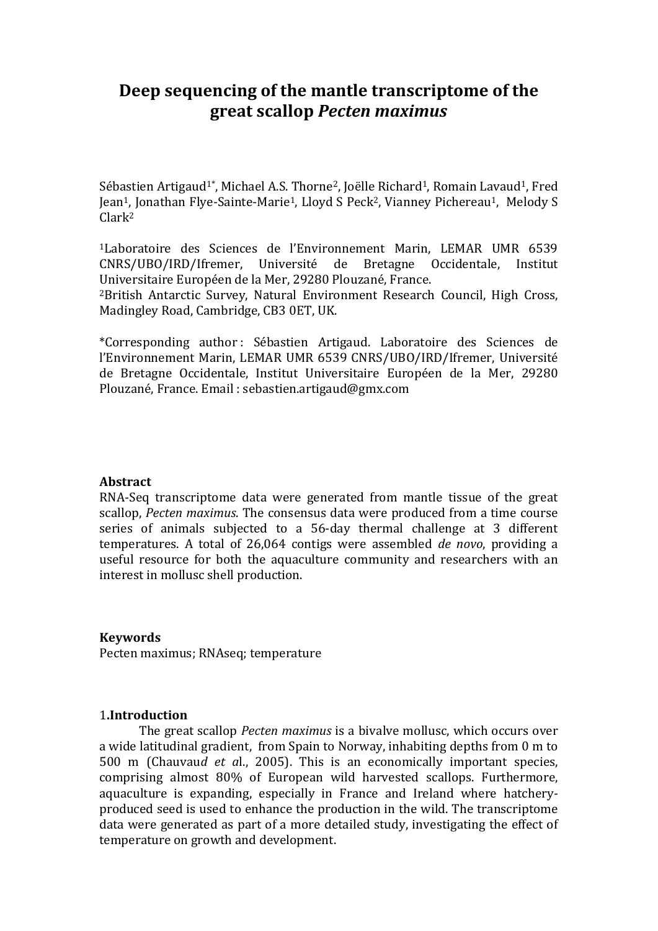# **Deep sequencing of the mantle transcriptome of the great scallop** *Pecten maximus*

Sébastien Artigaud<sup>1\*</sup>, Michael A.S. Thorne<sup>2</sup>, Joëlle Richard<sup>1</sup>, Romain Lavaud<sup>1</sup>, Fred Jean1, Jonathan Flye-Sainte-Marie1, Lloyd S Peck2, Vianney Pichereau1, Melody S Clark<sup>2</sup>

<sup>1</sup>Laboratoire des Sciences de l'Environnement Marin, LEMAR UMR 6539 CNRS/UBO/IRD/Ifremer, Université de Bretagne Occidentale, Institut Universitaire Européen de la Mer, 29280 Plouzané, France.

<sup>2</sup>British Antarctic Survey, Natural Environment Research Council, High Cross, Madingley Road, Cambridge, CB3 0ET, UK.

\*Corresponding author : Sébastien Artigaud. Laboratoire des Sciences de l'Environnement Marin, LEMAR UMR 6539 CNRS/UBO/IRD/Ifremer, Université de Bretagne Occidentale, Institut Universitaire Européen de la Mer, 29280 Plouzané, France. Email : sebastien.artigaud@gmx.com

#### **Abstract**

RNA-Seq transcriptome data were generated from mantle tissue of the great scallop, *Pecten maximus*. The consensus data were produced from a time course series of animals subjected to a 56-day thermal challenge at 3 different temperatures. A total of 26,064 contigs were assembled *de novo*, providing a useful resource for both the aquaculture community and researchers with an interest in mollusc shell production.

#### **Keywords**

Pecten maximus; RNAseq; temperature

#### 1**.Introduction**

The great scallop *Pecten maximus* is a bivalve mollusc, which occurs over a wide latitudinal gradient, from Spain to Norway, inhabiting depths from 0 m to 500 m (Chauvau*d et a*l., 2005). This is an economically important species, comprising almost 80% of European wild harvested scallops. Furthermore, aquaculture is expanding, especially in France and Ireland where hatcheryproduced seed is used to enhance the production in the wild. The transcriptome data were generated as part of a more detailed study, investigating the effect of temperature on growth and development.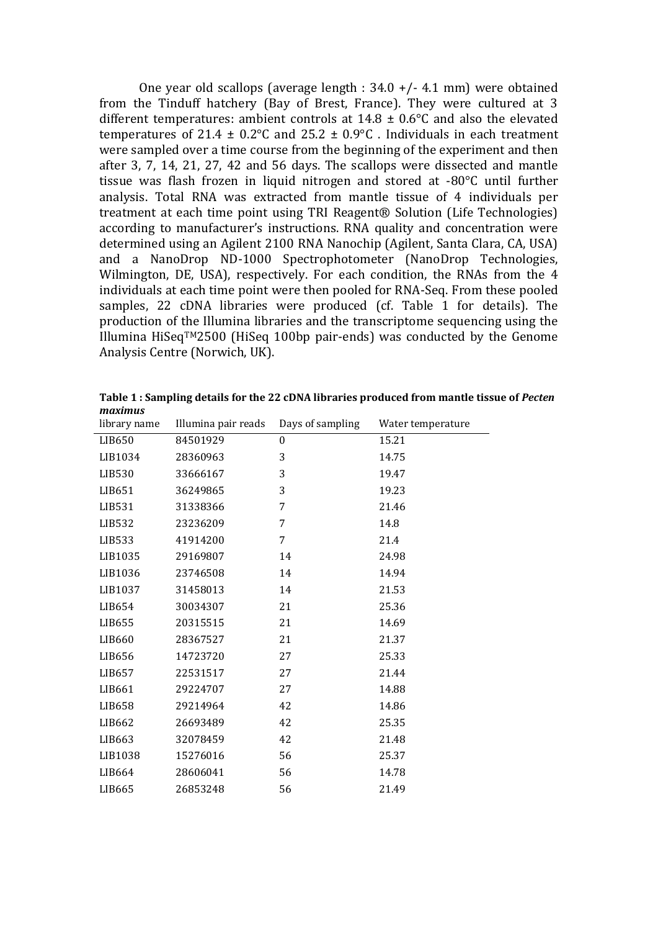One year old scallops (average length : 34.0 +/- 4.1 mm) were obtained from the Tinduff hatchery (Bay of Brest, France). They were cultured at 3 different temperatures: ambient controls at  $14.8 \pm 0.6$ °C and also the elevated temperatures of 21.4  $\pm$  0.2°C and 25.2  $\pm$  0.9°C. Individuals in each treatment were sampled over a time course from the beginning of the experiment and then after 3, 7, 14, 21, 27, 42 and 56 days. The scallops were dissected and mantle tissue was flash frozen in liquid nitrogen and stored at -80°C until further analysis. Total RNA was extracted from mantle tissue of 4 individuals per treatment at each time point using TRI Reagent® Solution (Life Technologies) according to manufacturer's instructions. RNA quality and concentration were determined using an Agilent 2100 RNA Nanochip (Agilent, Santa Clara, CA, USA) and a NanoDrop ND-1000 Spectrophotometer (NanoDrop Technologies, Wilmington, DE, USA), respectively. For each condition, the RNAs from the 4 individuals at each time point were then pooled for RNA-Seq. From these pooled samples, 22 cDNA libraries were produced (cf. Table 1 for details). The production of the Illumina libraries and the transcriptome sequencing using the Illumina HiSeqTM2500 (HiSeq 100bp pair-ends) was conducted by the Genome Analysis Centre (Norwich, UK).

| library name       | Illumina pair reads | Days of sampling | Water temperature |
|--------------------|---------------------|------------------|-------------------|
| LIB650             | 84501929            | $\boldsymbol{0}$ | 15.21             |
| LIB1034            | 28360963            | 3                | 14.75             |
| LIB530             | 33666167            | 3                | 19.47             |
| LIB651             | 36249865            | 3                | 19.23             |
| LIB531             | 31338366            | 7                | 21.46             |
| LIB532             | 23236209            | 7                | 14.8              |
| LIB533             | 41914200            | 7                | 21.4              |
| LIB1035            | 29169807            | 14               | 24.98             |
| LIB1036            | 23746508            | 14               | 14.94             |
| LIB1037            | 31458013            | 14               | 21.53             |
| LIB654             | 30034307            | 21               | 25.36             |
| LIB655             | 20315515            | 21               | 14.69             |
| LIB660             | 28367527            | 21               | 21.37             |
| LIB656             | 14723720            | 27               | 25.33             |
| LIB657             | 22531517            | 27               | 21.44             |
| LIB661             | 29224707            | 27               | 14.88             |
| LIB658             | 29214964            | 42               | 14.86             |
| LIB <sub>662</sub> | 26693489            | 42               | 25.35             |
| LIB663             | 32078459            | 42               | 21.48             |
| LIB1038            | 15276016            | 56               | 25.37             |
| LIB664             | 28606041            | 56               | 14.78             |
| LIB665             | 26853248            | 56               | 21.49             |

**Table 1 : Sampling details for the 22 cDNA libraries produced from mantle tissue of** *Pecten maximus*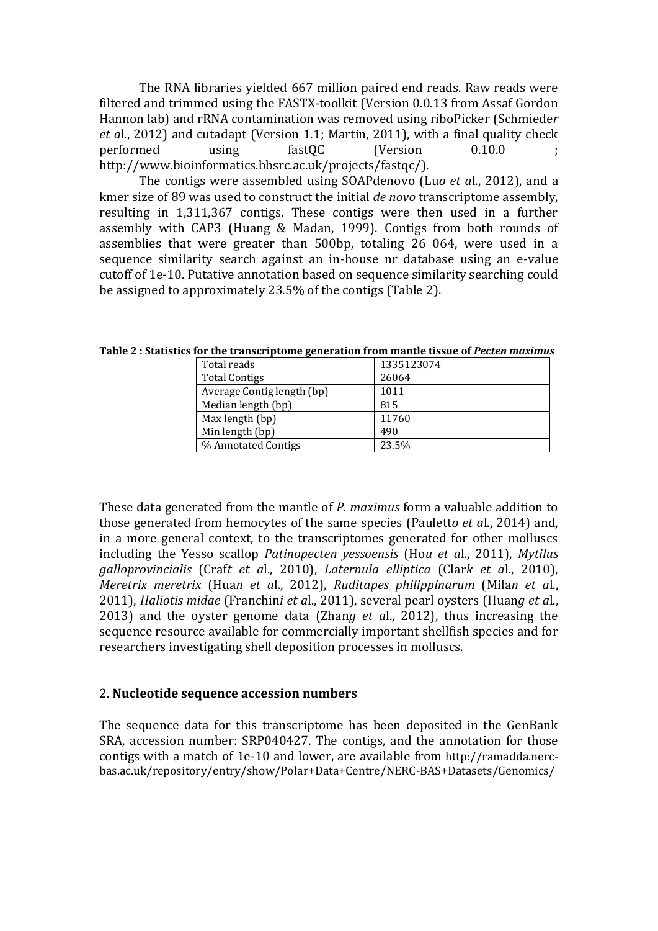The RNA libraries yielded 667 million paired end reads. Raw reads were filtered and trimmed using the FASTX-toolkit (Version 0.0.13 from Assaf Gordon Hannon lab) and rRNA contamination was removed using riboPicker (Schmiede*r et a*l., 2012) and cutadapt (Version 1.1; Martin, 2011), with a final quality check performed using fastQC (Version 0.10.0 ; http://www.bioinformatics.bbsrc.ac.uk/projects/fastqc/).

The contigs were assembled using SOAPdenovo (Lu*o et a*l., 2012), and a kmer size of 89 was used to construct the initial *de novo* transcriptome assembly, resulting in 1,311,367 contigs. These contigs were then used in a further assembly with CAP3 (Huang & Madan, 1999). Contigs from both rounds of assemblies that were greater than 500bp, totaling 26 064, were used in a sequence similarity search against an in-house nr database using an e-value cutoff of 1e-10. Putative annotation based on sequence similarity searching could be assigned to approximately 23.5% of the contigs (Table 2).

| Total reads                | 1335123074 |
|----------------------------|------------|
| <b>Total Contigs</b>       | 26064      |
| Average Contig length (bp) | 1011       |
| Median length (bp)         | 815        |
| Max length (bp)            | 11760      |
| Min length (bp)            | 490        |
| % Annotated Contigs        | 23.5%      |

**Table 2 : Statistics for the transcriptome generation from mantle tissue of** *Pecten maximus*

These data generated from the mantle of *P. maximus* form a valuable addition to those generated from hemocytes of the same species (Paulett*o et a*l., 2014) and, in a more general context, to the transcriptomes generated for other molluscs including the Yesso scallop *Patinopecten yessoensis* (Ho*u et a*l., 2011), *Mytilus galloprovincialis* (Craf*t et a*l., 2010), *Laternula elliptica* (Clar*k et a*l., 2010), *Meretrix meretrix* (Hua*n et a*l., 2012), *Ruditapes philippinarum* (Mila*n et a*l., 2011), *Haliotis midae* (Franchin*i et a*l., 2011), several pearl oysters (Huan*g et a*l., 2013) and the oyster genome data (Zhan*g et a*l., 2012), thus increasing the sequence resource available for commercially important shellfish species and for researchers investigating shell deposition processes in molluscs.

# 2. **Nucleotide sequence accession numbers**

The sequence data for this transcriptome has been deposited in the GenBank SRA, accession number: SRP040427. The contigs, and the annotation for those contigs with a match of 1e-10 and lower, are available from http://ramadda.nercbas.ac.uk/repository/entry/show/Polar+Data+Centre/NERC-BAS+Datasets/Genomics/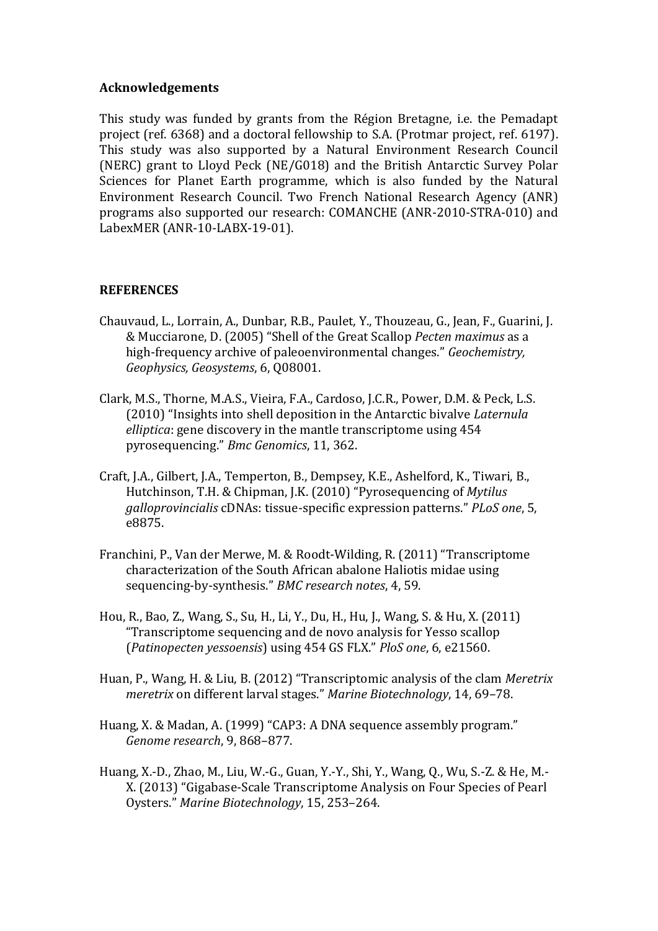### **Acknowledgements**

This study was funded by grants from the Région Bretagne, i.e. the Pemadapt project (ref. 6368) and a doctoral fellowship to S.A. (Protmar project, ref. 6197). This study was also supported by a Natural Environment Research Council (NERC) grant to Lloyd Peck (NE/G018) and the British Antarctic Survey Polar Sciences for Planet Earth programme, which is also funded by the Natural Environment Research Council. Two French National Research Agency (ANR) programs also supported our research: COMANCHE (ANR-2010-STRA-010) and LabexMER (ANR-10-LABX-19-01).

## **REFERENCES**

- Chauvaud, L., Lorrain, A., Dunbar, R.B., Paulet, Y., Thouzeau, G., Jean, F., Guarini, J. & Mucciarone, D. (2005) "Shell of the Great Scallop *Pecten maximus* as a high‐frequency archive of paleoenvironmental changes." *Geochemistry, Geophysics, Geosystems*, 6, Q08001.
- Clark, M.S., Thorne, M.A.S., Vieira, F.A., Cardoso, J.C.R., Power, D.M. & Peck, L.S. (2010) "Insights into shell deposition in the Antarctic bivalve *Laternula elliptica*: gene discovery in the mantle transcriptome using 454 pyrosequencing." *Bmc Genomics*, 11, 362.
- Craft, J.A., Gilbert, J.A., Temperton, B., Dempsey, K.E., Ashelford, K., Tiwari, B., Hutchinson, T.H. & Chipman, J.K. (2010) "Pyrosequencing of *Mytilus galloprovincialis* cDNAs: tissue-specific expression patterns." *PLoS one*, 5, e8875.
- Franchini, P., Van der Merwe, M. & Roodt-Wilding, R. (2011) "Transcriptome characterization of the South African abalone Haliotis midae using sequencing-by-synthesis." *BMC research notes*, 4, 59.
- Hou, R., Bao, Z., Wang, S., Su, H., Li, Y., Du, H., Hu, J., Wang, S. & Hu, X. (2011) "Transcriptome sequencing and de novo analysis for Yesso scallop (*Patinopecten yessoensis*) using 454 GS FLX." *PloS one*, 6, e21560.
- Huan, P., Wang, H. & Liu, B. (2012) "Transcriptomic analysis of the clam *Meretrix meretrix* on different larval stages." *Marine Biotechnology*, 14, 69–78.
- Huang, X. & Madan, A. (1999) "CAP3: A DNA sequence assembly program." *Genome research*, 9, 868–877.
- Huang, X.-D., Zhao, M., Liu, W.-G., Guan, Y.-Y., Shi, Y., Wang, Q., Wu, S.-Z. & He, M.- X. (2013) "Gigabase-Scale Transcriptome Analysis on Four Species of Pearl Oysters." *Marine Biotechnology*, 15, 253–264.